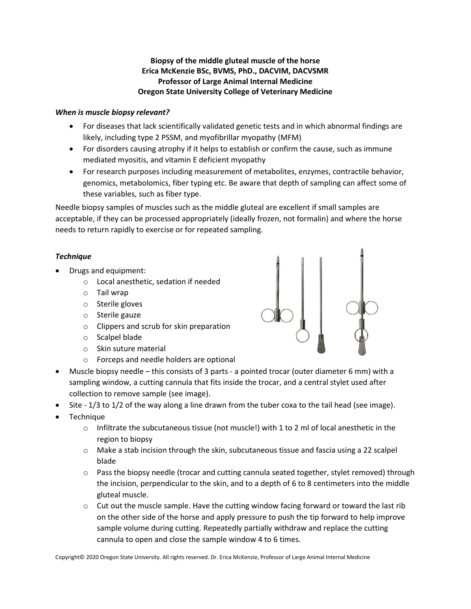## **Biopsy of the middle gluteal muscle of the horse Erica McKenzie BSc, BVMS, PhD., DACVIM, DACVSMR Professor of Large Animal Internal Medicine Oregon State University College of Veterinary Medicine**

## *When is muscle biopsy relevant?*

- For diseases that lack scientifically validated genetic tests and in which abnormal findings are likely, including type 2 PSSM, and myofibrillar myopathy (MFM)
- For disorders causing atrophy if it helps to establish or confirm the cause, such as immune mediated myositis, and vitamin E deficient myopathy
- For research purposes including measurement of metabolites, enzymes, contractile behavior, genomics, metabolomics, fiber typing etc. Be aware that depth of sampling can affect some of these variables, such as fiber type.

Needle biopsy samples of muscles such as the middle gluteal are excellent if small samples are acceptable, if they can be processed appropriately (ideally frozen, not formalin) and where the horse needs to return rapidly to exercise or for repeated sampling.

## *Technique*

- Drugs and equipment:
	- o Local anesthetic, sedation if needed
	- o Tail wrap
	- o Sterile gloves
	- o Sterile gauze
	- o Clippers and scrub for skin preparation
	- o Scalpel blade
	- o Skin suture material
	- o Forceps and needle holders are optional
- Muscle biopsy needle this consists of 3 parts a pointed trocar (outer diameter 6 mm) with a sampling window, a cutting cannula that fits inside the trocar, and a central stylet used after collection to remove sample (see image).
- Site 1/3 to 1/2 of the way along a line drawn from the tuber coxa to the tail head (see image).
- **Technique** 
	- $\circ$  Infiltrate the subcutaneous tissue (not muscle!) with 1 to 2 ml of local anesthetic in the region to biopsy
	- $\circ$  Make a stab incision through the skin, subcutaneous tissue and fascia using a 22 scalpel blade
	- $\circ$  Pass the biopsy needle (trocar and cutting cannula seated together, stylet removed) through the incision, perpendicular to the skin, and to a depth of 6 to 8 centimeters into the middle gluteal muscle.
	- $\circ$  Cut out the muscle sample. Have the cutting window facing forward or toward the last rib on the other side of the horse and apply pressure to push the tip forward to help improve sample volume during cutting. Repeatedly partially withdraw and replace the cutting cannula to open and close the sample window 4 to 6 times.